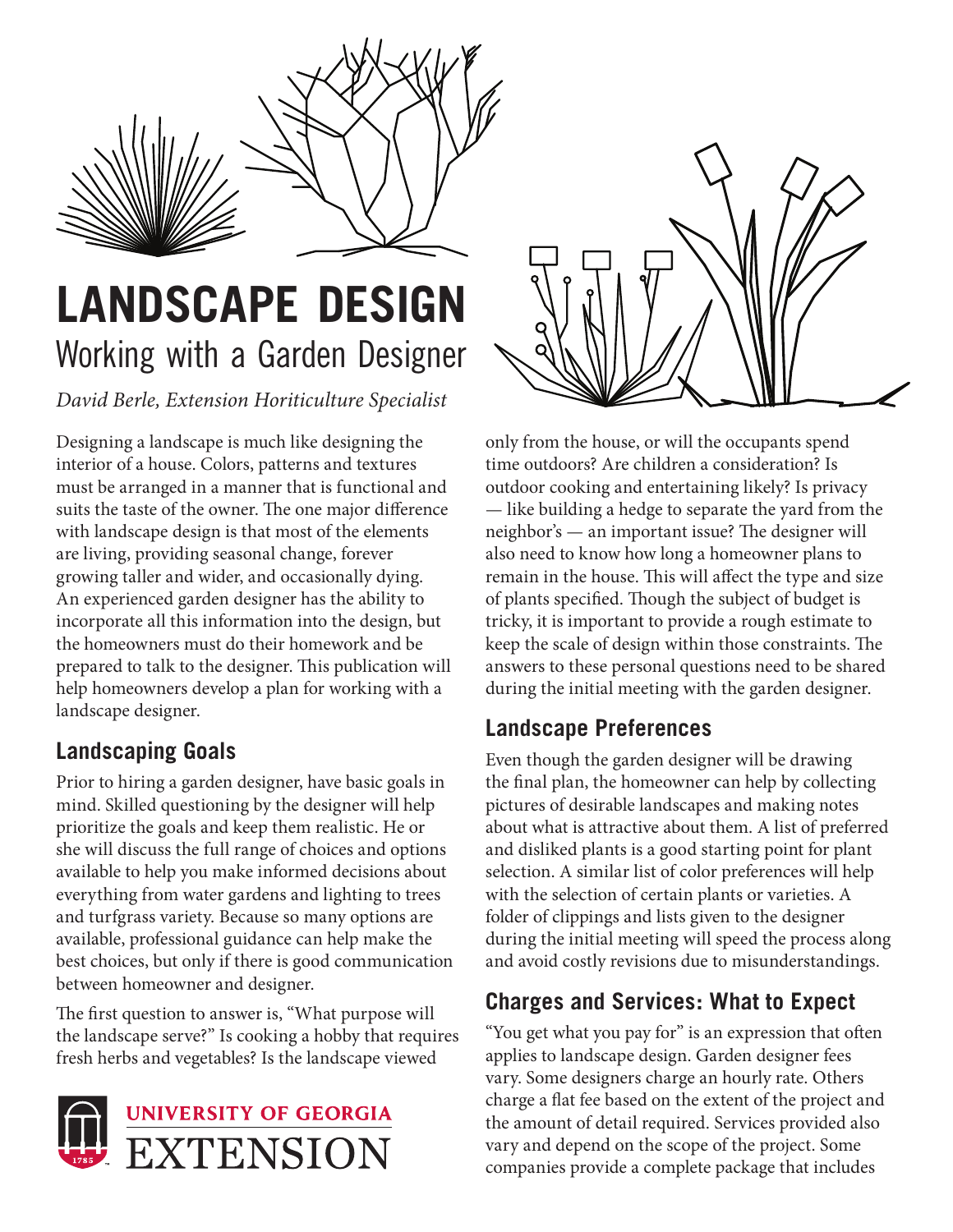

# **LANDSCAPE DESIGN** Working with a Garden Designer

*David Berle, Extension Horiticulture Specialist*

Designing a landscape is much like designing the interior of a house. Colors, patterns and textures must be arranged in a manner that is functional and suits the taste of the owner. The one major difference with landscape design is that most of the elements are living, providing seasonal change, forever growing taller and wider, and occasionally dying. An experienced garden designer has the ability to incorporate all this information into the design, but the homeowners must do their homework and be prepared to talk to the designer. This publication will help homeowners develop a plan for working with a landscape designer.

# **Landscaping Goals**

Prior to hiring a garden designer, have basic goals in mind. Skilled questioning by the designer will help prioritize the goals and keep them realistic. He or she will discuss the full range of choices and options available to help you make informed decisions about everything from water gardens and lighting to trees and turfgrass variety. Because so many options are available, professional guidance can help make the best choices, but only if there is good communication between homeowner and designer.

The first question to answer is, "What purpose will the landscape serve?" Is cooking a hobby that requires fresh herbs and vegetables? Is the landscape viewed





only from the house, or will the occupants spend time outdoors? Are children a consideration? Is outdoor cooking and entertaining likely? Is privacy — like building a hedge to separate the yard from the neighbor's — an important issue? The designer will also need to know how long a homeowner plans to remain in the house. This will affect the type and size of plants specified. Though the subject of budget is tricky, it is important to provide a rough estimate to keep the scale of design within those constraints. The answers to these personal questions need to be shared during the initial meeting with the garden designer.

# **Landscape Preferences**

Even though the garden designer will be drawing the final plan, the homeowner can help by collecting pictures of desirable landscapes and making notes about what is attractive about them. A list of preferred and disliked plants is a good starting point for plant selection. A similar list of color preferences will help with the selection of certain plants or varieties. A folder of clippings and lists given to the designer during the initial meeting will speed the process along and avoid costly revisions due to misunderstandings.

## **Charges and Services: What to Expect**

"You get what you pay for" is an expression that often applies to landscape design. Garden designer fees vary. Some designers charge an hourly rate. Others charge a flat fee based on the extent of the project and the amount of detail required. Services provided also vary and depend on the scope of the project. Some companies provide a complete package that includes